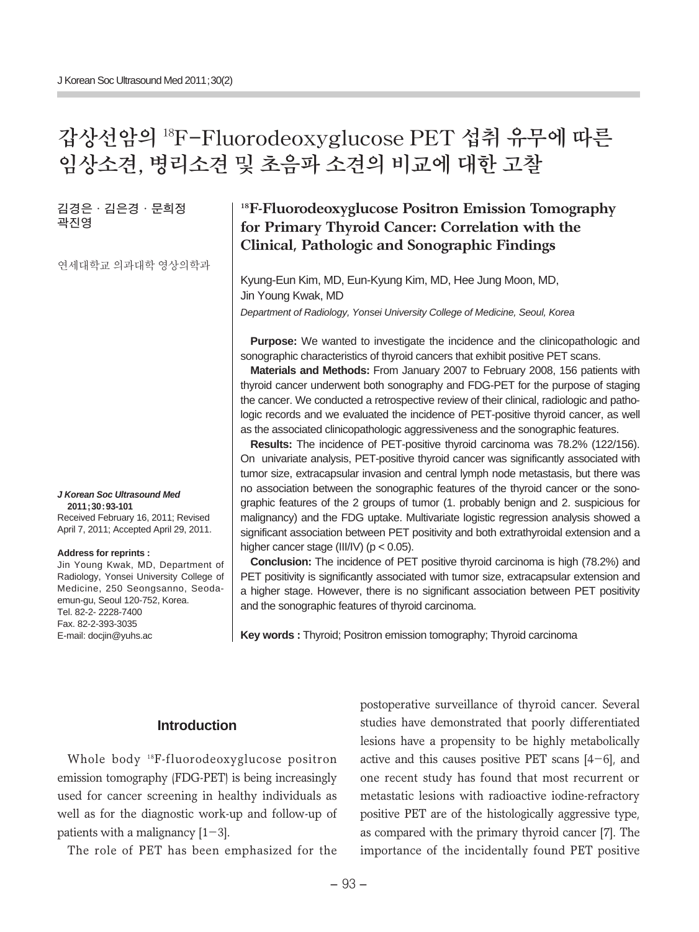# **갑상선암의 18F-Fluorodeoxyglucose PET 섭취 유무에 따른 임상소견, 병리소견 및 초음파 소견의 비교에 대한 고찰**

**김경은∙김은경∙문희정 곽진영**

연세대학교 의과대학 영상의학과

#### **J Korean Soc Ultrasound Med 2011;30:93-101**

Received February 16, 2011; Revised April 7, 2011; Accepted April 29, 2011.

#### **Address for reprints :**

Jin Young Kwak, MD, Department of Radiology, Yonsei University College of Medicine, 250 Seongsanno, Seodaemun-gu, Seoul 120-752, Korea. Tel. 82-2- 2228-7400 Fax. 82-2-393-3035 E-mail: docjin@yuhs.ac

## **18F-Fluorodeoxyglucose Positron Emission Tomography for Primary Thyroid Cancer: Correlation with the Clinical, Pathologic and Sonographic Findings**

Kyung-Eun Kim, MD, Eun-Kyung Kim, MD, Hee Jung Moon, MD, Jin Young Kwak, MD

Department of Radiology, Yonsei University College of Medicine, Seoul, Korea

**Purpose:** We wanted to investigate the incidence and the clinicopathologic and sonographic characteristics of thyroid cancers that exhibit positive PET scans.

**Materials and Methods:** From January 2007 to February 2008, 156 patients with thyroid cancer underwent both sonography and FDG-PET for the purpose of staging the cancer. We conducted a retrospective review of their clinical, radiologic and pathologic records and we evaluated the incidence of PET-positive thyroid cancer, as well as the associated clinicopathologic aggressiveness and the sonographic features.

**Results:** The incidence of PET-positive thyroid carcinoma was 78.2% (122/156). On univariate analysis, PET-positive thyroid cancer was significantly associated with tumor size, extracapsular invasion and central lymph node metastasis, but there was no association between the sonographic features of the thyroid cancer or the sonographic features of the 2 groups of tumor (1. probably benign and 2. suspicious for malignancy) and the FDG uptake. Multivariate logistic regression analysis showed a significant association between PET positivity and both extrathyroidal extension and a higher cancer stage (III/IV) (p < 0.05).

**Conclusion:** The incidence of PET positive thyroid carcinoma is high (78.2%) and PET positivity is significantly associated with tumor size, extracapsular extension and a higher stage. However, there is no significant association between PET positivity and the sonographic features of thyroid carcinoma.

**Key words :** Thyroid; Positron emission tomography; Thyroid carcinoma

## **Introduction**

Whole body 18F-fluorodeoxyglucose positron emission tomography (FDG-PET) is being increasingly used for cancer screening in healthy individuals as well as for the diagnostic work-up and follow-up of patients with a malignancy  $[1-3]$ .

The role of PET has been emphasized for the

postoperative surveillance of thyroid cancer. Several studies have demonstrated that poorly differentiated lesions have a propensity to be highly metabolically active and this causes positive PET scans  $[4-6]$ , and one recent study has found that most recurrent or metastatic lesions with radioactive iodine-refractory positive PET are of the histologically aggressive type, as compared with the primary thyroid cancer [7]. The importance of the incidentally found PET positive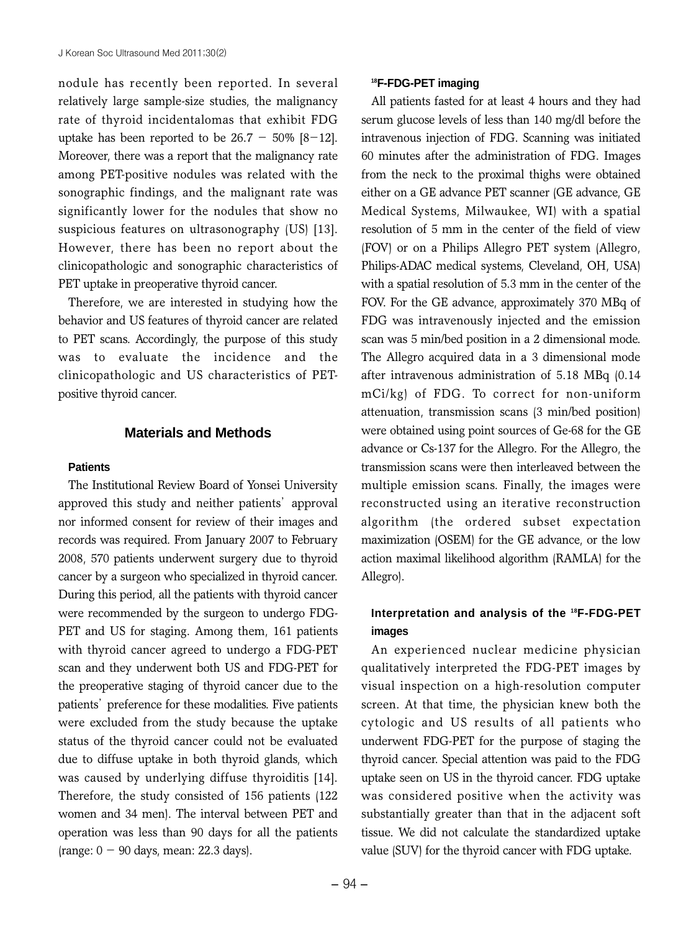nodule has recently been reported. In several relatively large sample-size studies, the malignancy rate of thyroid incidentalomas that exhibit FDG uptake has been reported to be  $26.7 - 50\%$  [8-12]. Moreover, there was a report that the malignancy rate among PET-positive nodules was related with the sonographic findings, and the malignant rate was significantly lower for the nodules that show no suspicious features on ultrasonography (US) [13]. However, there has been no report about the clinicopathologic and sonographic characteristics of PET uptake in preoperative thyroid cancer.

Therefore, we are interested in studying how the behavior and US features of thyroid cancer are related to PET scans. Accordingly, the purpose of this study was to evaluate the incidence and the clinicopathologic and US characteristics of PETpositive thyroid cancer.

### **Materials and Methods**

#### **Patients**

The Institutional Review Board of Yonsei University approved this study and neither patients'approval nor informed consent for review of their images and records was required. From January 2007 to February 2008, 570 patients underwent surgery due to thyroid cancer by a surgeon who specialized in thyroid cancer. During this period, all the patients with thyroid cancer were recommended by the surgeon to undergo FDG-PET and US for staging. Among them, 161 patients with thyroid cancer agreed to undergo a FDG-PET scan and they underwent both US and FDG-PET for the preoperative staging of thyroid cancer due to the patients' preference for these modalities. Five patients were excluded from the study because the uptake status of the thyroid cancer could not be evaluated due to diffuse uptake in both thyroid glands, which was caused by underlying diffuse thyroiditis [14]. Therefore, the study consisted of 156 patients (122 women and 34 men). The interval between PET and operation was less than 90 days for all the patients (range:  $0 - 90$  days, mean: 22.3 days).

#### **18F-FDG-PET imaging**

All patients fasted for at least 4 hours and they had serum glucose levels of less than 140 mg/dl before the intravenous injection of FDG. Scanning was initiated 60 minutes after the administration of FDG. Images from the neck to the proximal thighs were obtained either on a GE advance PET scanner (GE advance, GE Medical Systems, Milwaukee, WI) with a spatial resolution of 5 mm in the center of the field of view (FOV) or on a Philips Allegro PET system (Allegro, Philips-ADAC medical systems, Cleveland, OH, USA) with a spatial resolution of 5.3 mm in the center of the FOV. For the GE advance, approximately 370 MBq of FDG was intravenously injected and the emission scan was 5 min/bed position in a 2 dimensional mode. The Allegro acquired data in a 3 dimensional mode after intravenous administration of 5.18 MBq (0.14 mCi/kg) of FDG. To correct for non-uniform attenuation, transmission scans (3 min/bed position) were obtained using point sources of Ge-68 for the GE advance or Cs-137 for the Allegro. For the Allegro, the transmission scans were then interleaved between the multiple emission scans. Finally, the images were reconstructed using an iterative reconstruction algorithm (the ordered subset expectation maximization (OSEM) for the GE advance, or the low action maximal likelihood algorithm (RAMLA) for the Allegro).

## **Interpretation and analysis of the 18F-FDG-PET images**

An experienced nuclear medicine physician qualitatively interpreted the FDG-PET images by visual inspection on a high-resolution computer screen. At that time, the physician knew both the cytologic and US results of all patients who underwent FDG-PET for the purpose of staging the thyroid cancer. Special attention was paid to the FDG uptake seen on US in the thyroid cancer. FDG uptake was considered positive when the activity was substantially greater than that in the adjacent soft tissue. We did not calculate the standardized uptake value (SUV) for the thyroid cancer with FDG uptake.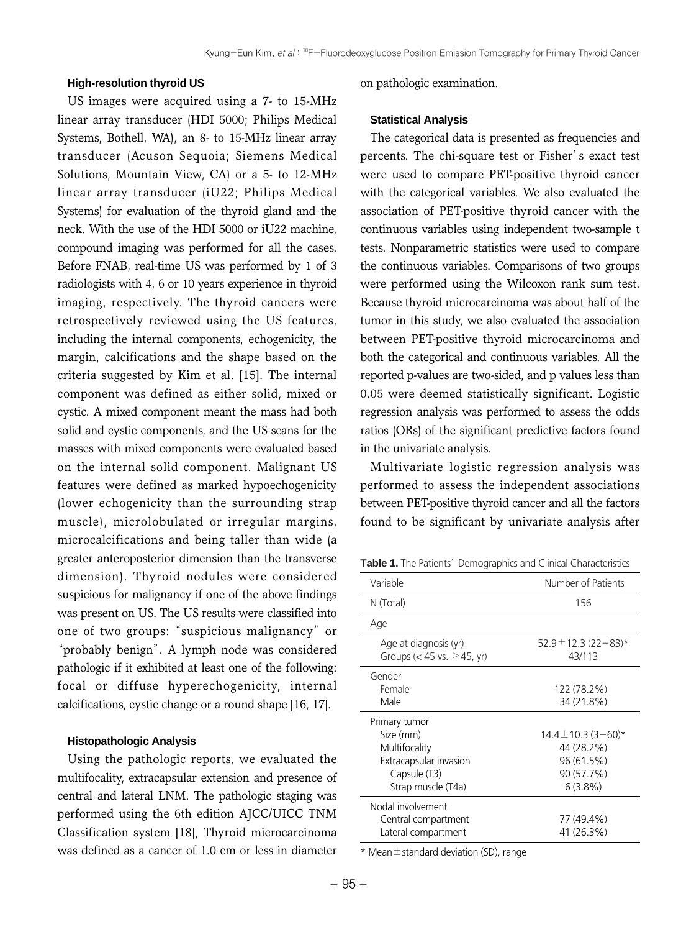#### **High-resolution thyroid US**

US images were acquired using a 7- to 15-MHz linear array transducer (HDI 5000; Philips Medical Systems, Bothell, WA), an 8- to 15-MHz linear array transducer (Acuson Sequoia; Siemens Medical Solutions, Mountain View, CA) or a 5- to 12-MHz linear array transducer (iU22; Philips Medical Systems) for evaluation of the thyroid gland and the neck. With the use of the HDI 5000 or iU22 machine, compound imaging was performed for all the cases. Before FNAB, real-time US was performed by 1 of 3 radiologists with 4, 6 or 10 years experience in thyroid imaging, respectively. The thyroid cancers were retrospectively reviewed using the US features, including the internal components, echogenicity, the margin, calcifications and the shape based on the criteria suggested by Kim et al. [15]. The internal component was defined as either solid, mixed or cystic. A mixed component meant the mass had both solid and cystic components, and the US scans for the masses with mixed components were evaluated based on the internal solid component. Malignant US features were defined as marked hypoechogenicity (lower echogenicity than the surrounding strap muscle), microlobulated or irregular margins, microcalcifications and being taller than wide (a greater anteroposterior dimension than the transverse dimension). Thyroid nodules were considered suspicious for malignancy if one of the above findings was present on US. The US results were classified into one of two groups: "suspicious malignancy"or "probably benign". A lymph node was considered pathologic if it exhibited at least one of the following: focal or diffuse hyperechogenicity, internal calcifications, cystic change or a round shape [16, 17].

#### **Histopathologic Analysis**

Using the pathologic reports, we evaluated the multifocality, extracapsular extension and presence of central and lateral LNM. The pathologic staging was performed using the 6th edition AJCC/UICC TNM Classification system [18], Thyroid microcarcinoma was defined as a cancer of 1.0 cm or less in diameter

on pathologic examination.

#### **Statistical Analysis**

The categorical data is presented as frequencies and percents. The chi-square test or Fisher's exact test were used to compare PET-positive thyroid cancer with the categorical variables. We also evaluated the association of PET-positive thyroid cancer with the continuous variables using independent two-sample t tests. Nonparametric statistics were used to compare the continuous variables. Comparisons of two groups were performed using the Wilcoxon rank sum test. Because thyroid microcarcinoma was about half of the tumor in this study, we also evaluated the association between PET-positive thyroid microcarcinoma and both the categorical and continuous variables. All the reported p-values are two-sided, and p values less than 0.05 were deemed statistically significant. Logistic regression analysis was performed to assess the odds ratios (ORs) of the significant predictive factors found in the univariate analysis.

Multivariate logistic regression analysis was performed to assess the independent associations between PET-positive thyroid cancer and all the factors found to be significant by univariate analysis after

Table 1. The Patients' Demographics and Clinical Characteristics

| Variable                        | Number of Patients       |
|---------------------------------|--------------------------|
| N (Total)                       | 156                      |
|                                 |                          |
| Age                             |                          |
| Age at diagnosis (yr)           | $52.9 \pm 12.3$ (22-83)* |
| Groups (< 45 vs. $\geq$ 45, yr) | 43/113                   |
| Gender                          |                          |
| Female                          | 122 (78.2%)              |
| Male                            | 34 (21.8%)               |
| Primary tumor                   |                          |
| Size (mm)                       | $14.4 \pm 10.3$ (3-60)*  |
| Multifocality                   | 44 (28.2%)               |
| Extracapsular invasion          | 96 (61.5%)               |
| Capsule (T3)                    | 90 (57.7%)               |
| Strap muscle (T4a)              | 6(3.8%)                  |
| Nodal involvement               |                          |
| Central compartment             | 77 (49.4%)               |
| Lateral compartment             | 41 (26.3%)               |

 $*$  Mean $\pm$ standard deviation (SD), range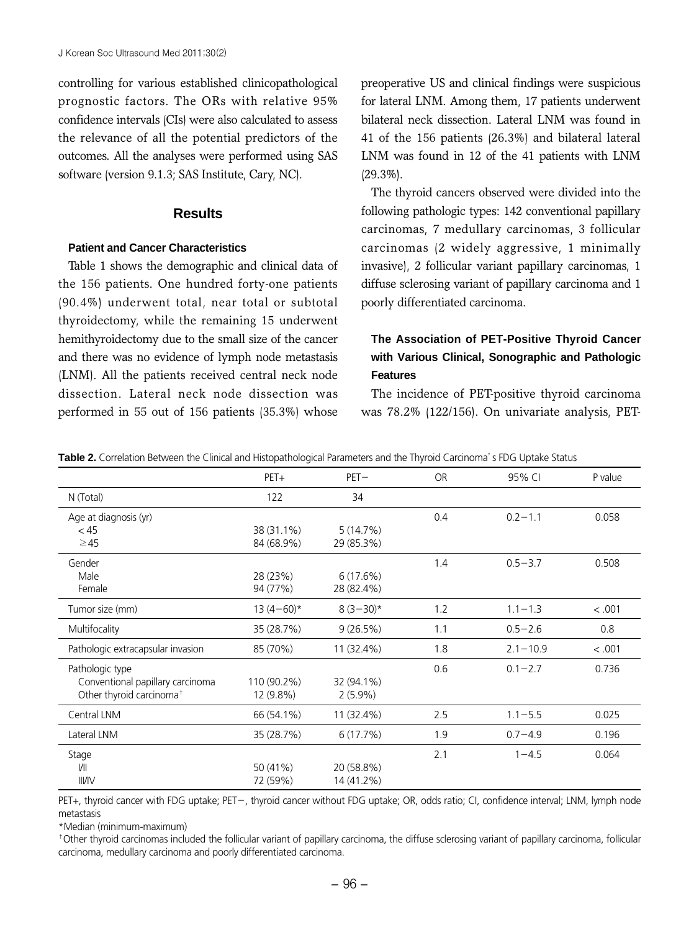controlling for various established clinicopathological prognostic factors. The ORs with relative 95% confidence intervals (CIs) were also calculated to assess the relevance of all the potential predictors of the outcomes. All the analyses were performed using SAS software (version 9.1.3; SAS Institute, Cary, NC).

#### **Results**

#### **Patient and Cancer Characteristics**

Table 1 shows the demographic and clinical data of the 156 patients. One hundred forty-one patients (90.4%) underwent total, near total or subtotal thyroidectomy, while the remaining 15 underwent hemithyroidectomy due to the small size of the cancer and there was no evidence of lymph node metastasis (LNM). All the patients received central neck node dissection. Lateral neck node dissection was performed in 55 out of 156 patients (35.3%) whose

preoperative US and clinical findings were suspicious for lateral LNM. Among them, 17 patients underwent bilateral neck dissection. Lateral LNM was found in 41 of the 156 patients (26.3%) and bilateral lateral LNM was found in 12 of the 41 patients with LNM (29.3%).

The thyroid cancers observed were divided into the following pathologic types: 142 conventional papillary carcinomas, 7 medullary carcinomas, 3 follicular carcinomas (2 widely aggressive, 1 minimally invasive), 2 follicular variant papillary carcinomas, 1 diffuse sclerosing variant of papillary carcinoma and 1 poorly differentiated carcinoma.

## **The Association of PET-Positive Thyroid Cancer with Various Clinical, Sonographic and Pathologic Features**

The incidence of PET-positive thyroid carcinoma was 78.2% (122/156). On univariate analysis, PET-

**Table 2.** Correlation Between the Clinical and Histopathological Parameters and the Thyroid Carcinoma's FDG Uptake Status

|                                      | PET+         | $PET -$    | <b>OR</b>          | 95% CI       | P value |
|--------------------------------------|--------------|------------|--------------------|--------------|---------|
| N (Total)                            | 122          | 34         |                    |              |         |
| Age at diagnosis (yr)                |              |            | 0.4                | $0.2 - 1.1$  | 0.058   |
| < 45                                 | 38 (31.1%)   | 5(14.7%)   |                    |              |         |
| $\geq$ 45                            | 84 (68.9%)   | 29 (85.3%) |                    |              |         |
| Gender                               |              |            | 1.4                | $0.5 - 3.7$  | 0.508   |
| Male                                 | 28 (23%)     | 6(17.6%)   |                    |              |         |
| Female                               | 94 (77%)     | 28 (82.4%) |                    |              |         |
| Tumor size (mm)                      | $13(4-60)$ * | $8(3-30)*$ | 1.2<br>$1.1 - 1.3$ |              | < .001  |
| Multifocality                        | 35 (28.7%)   | 9(26.5%)   | $0.5 - 2.6$<br>1.1 |              | 0.8     |
| Pathologic extracapsular invasion    | 85 (70%)     | 11 (32.4%) | 1.8                | $2.1 - 10.9$ | < .001  |
| Pathologic type                      |              |            | 0.6                | $0.1 - 2.7$  | 0.736   |
| Conventional papillary carcinoma     | 110 (90.2%)  | 32 (94.1%) |                    |              |         |
| Other thyroid carcinoma <sup>+</sup> | 12 (9.8%)    | $2(5.9\%)$ |                    |              |         |
| Central LNM                          | 66 (54.1%)   | 11 (32.4%) | 2.5                | $1.1 - 5.5$  | 0.025   |
| Lateral LNM                          | 35 (28.7%)   | 6(17.7%)   | 1.9                | $0.7 - 4.9$  | 0.196   |
| Stage                                |              |            | 2.1                | $1 - 4.5$    | 0.064   |
| /                                    | 50 (41%)     | 20 (58.8%) |                    |              |         |
| <b>III/IV</b>                        | 72 (59%)     | 14 (41.2%) |                    |              |         |

PET+, thyroid cancer with FDG uptake; PET-, thyroid cancer without FDG uptake; OR, odds ratio; CI, confidence interval; LNM, lymph node metastasis

\*Median (minimum-maximum)

<sup>+</sup>Other thyroid carcinomas included the follicular variant of papillary carcinoma, the diffuse sclerosing variant of papillary carcinoma, follicular carcinoma, medullary carcinoma and poorly differentiated carcinoma.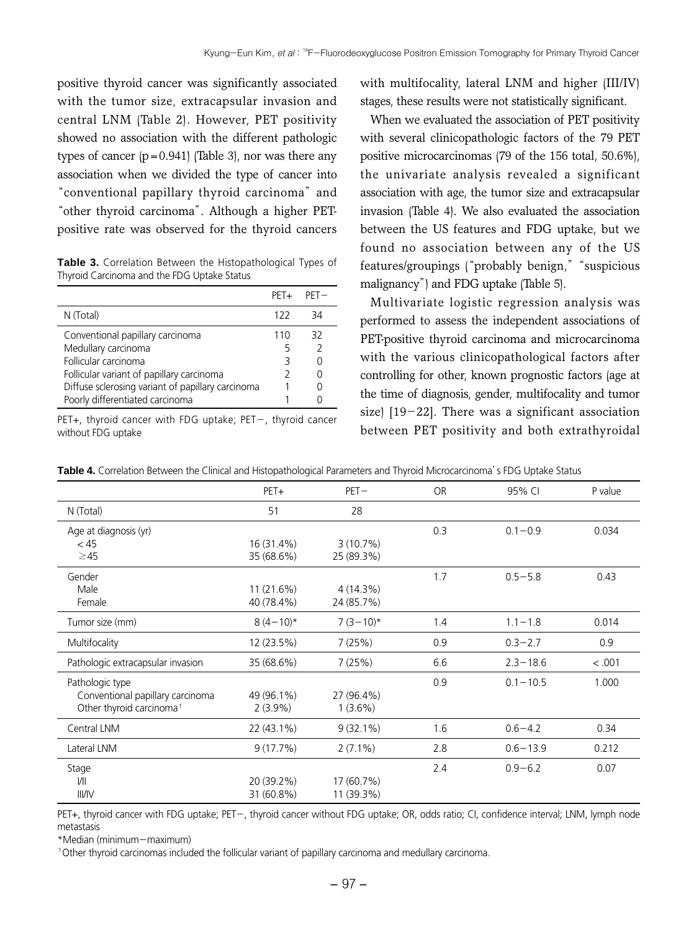positive thyroid cancer was significantly associated with the tumor size, extracapsular invasion and central LNM (Table 2). However, PET positivity showed no association with the different pathologic types of cancer  $(p=0.941)$  (Table 3), nor was there any association when we divided the type of cancer into "conventional papillary thyroid carcinoma"and "other thyroid carcinoma". Although a higher PETpositive rate was observed for the thyroid cancers

**Table 3.** Correlation Between the Histopathological Types of Thyroid Carcinoma and the FDG Uptake Status

|                                                   | $PFT+$ | $PFT-$        |
|---------------------------------------------------|--------|---------------|
| N (Total)                                         | 122    | 34            |
| Conventional papillary carcinoma                  | 110    | 32            |
| Medullary carcinoma                               |        | $\mathcal{P}$ |
| Follicular carcinoma                              |        | O             |
| Follicular variant of papillary carcinoma         | 2      | O             |
| Diffuse sclerosing variant of papillary carcinoma |        | Λ             |
| Poorly differentiated carcinoma                   |        |               |

PET+, thyroid cancer with FDG uptake; PET-, thyroid cancer without FDG uptake

with multifocality, lateral LNM and higher (III/IV) stages, these results were not statistically significant.

When we evaluated the association of PET positivity with several clinicopathologic factors of the 79 PET positive microcarcinomas (79 of the 156 total, 50.6%), the univariate analysis revealed a significant association with age, the tumor size and extracapsular invasion (Table 4). We also evaluated the association between the US features and FDG uptake, but we found no association between any of the US features/groupings ("probably benign," "suspicious malignancy") and FDG uptake (Table 5).

Multivariate logistic regression analysis was performed to assess the independent associations of PET-positive thyroid carcinoma and microcarcinoma with the various clinicopathological factors after controlling for other, known prognostic factors (age at the time of diagnosis, gender, multifocality and tumor size) [19-22]. There was a significant association between PET positivity and both extrathyroidal

|                                      | PET+         | $PET-$      | <b>OR</b> | 95% CI       | P value |
|--------------------------------------|--------------|-------------|-----------|--------------|---------|
| N (Total)                            | 51           | 28          |           |              |         |
| Age at diagnosis (yr)                |              |             | 0.3       | $0.1 - 0.9$  | 0.034   |
| < 45                                 | 16 (31.4%)   | 3(10.7%)    |           |              |         |
| $\geq$ 45                            | 35 (68.6%)   | 25 (89.3%)  |           |              |         |
| Gender                               |              |             | 1.7       | $0.5 - 5.8$  | 0.43    |
| Male                                 | $11(21.6\%)$ | 4(14.3%)    |           |              |         |
| Female                               | 40 (78.4%)   | 24 (85.7%)  |           |              |         |
| Tumor size (mm)                      | $8(4-10)*$   | $7(3-10)*$  | 1.4       | $1.1 - 1.8$  | 0.014   |
| Multifocality                        | 12 (23.5%)   | 7(25%)      | 0.9       | $0.3 - 2.7$  | 0.9     |
| Pathologic extracapsular invasion    | 35 (68.6%)   | 7(25%)      | 6.6       | $2.3 - 18.6$ | < .001  |
| Pathologic type                      |              |             | 0.9       | $0.1 - 10.5$ | 1.000   |
| Conventional papillary carcinoma     | 49 (96.1%)   | 27 (96.4%)  |           |              |         |
| Other thyroid carcinoma <sup>+</sup> | $2(3.9\%)$   | $1(3.6\%)$  |           |              |         |
| Central LNM                          | 22 (43.1%)   | $9(32.1\%)$ | 1.6       | $0.6 - 4.2$  | 0.34    |
| Lateral LNM                          | 9(17.7%)     | $2(7.1\%)$  | 2.8       | $0.6 - 13.9$ | 0.212   |
| Stage                                |              |             | 2.4       | $0.9 - 6.2$  | 0.07    |
| /                                    | 20 (39.2%)   | 17 (60.7%)  |           |              |         |
| <b>III/IV</b>                        | 31 (60.8%)   | 11 (39.3%)  |           |              |         |

**Table 4.** Correlation Between the Clinical and Histopathological Parameters and Thyroid Microcarcinoma's FDG Uptake Status

PET+, thyroid cancer with FDG uptake; PET-, thyroid cancer without FDG uptake; OR, odds ratio; CI, confidence interval; LNM, lymph node metastasis

\*Median (minimum-maximum)

<sup>†</sup>Other thyroid carcinomas included the follicular variant of papillary carcinoma and medullary carcinoma.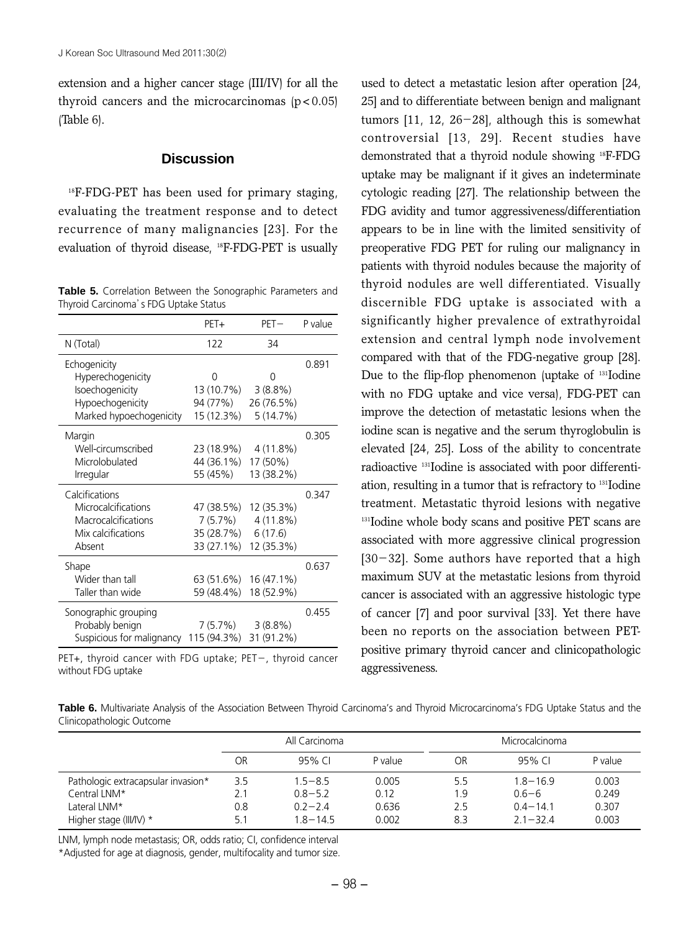extension and a higher cancer stage (III/IV) for all the thyroid cancers and the microcarcinomas  $(p < 0.05)$ (Table 6).

#### **Discussion**

 $18$ F-FDG-PET has been used for primary staging, evaluating the treatment response and to detect recurrence of many malignancies [23]. For the evaluation of thyroid disease, <sup>18</sup>F-FDG-PET is usually

**Table 5.** Correlation Between the Sonographic Parameters and Thyroid Carcinoma's FDG Uptake Status

|                           | PET+        | $PET-$     | P value |
|---------------------------|-------------|------------|---------|
| N (Total)                 | 122         | 34         |         |
| Echogenicity              |             |            | 0.891   |
| Hyperechogenicity         | O           | ⋂          |         |
| Isoechogenicity           | 13 (10.7%)  | $3(8.8\%)$ |         |
| Hypoechogenicity          | 94 (77%)    | 26 (76.5%) |         |
| Marked hypoechogenicity   | 15 (12.3%)  | 5(14.7%)   |         |
| Margin                    |             |            | 0.305   |
| Well-circumscribed        | 23 (18.9%)  | 4(11.8%)   |         |
| Microlobulated            | 44 (36.1%)  | 17 (50%)   |         |
| Irregular                 | 55 (45%)    | 13 (38.2%) |         |
| Calcifications            |             |            | 0.347   |
| Microcalcifications       | 47 (38.5%)  | 12 (35.3%) |         |
| Macrocalcifications       | 7 (5.7%)    | 4(11.8%)   |         |
| Mix calcifications        | 35 (28.7%)  | 6(17.6)    |         |
| Absent                    | 33 (27.1%)  | 12 (35.3%) |         |
| Shape                     |             |            | 0.637   |
| Wider than tall           | 63 (51.6%)  | 16 (47.1%) |         |
| Taller than wide          | 59 (48.4%)  | 18 (52.9%) |         |
| Sonographic grouping      |             |            | 0.455   |
| Probably benign           | 7 (5.7%)    | 3(8.8%)    |         |
| Suspicious for malignancy | 115 (94.3%) | 31 (91.2%) |         |

PET+, thyroid cancer with FDG uptake; PET-, thyroid cancer without FDG uptake

used to detect a metastatic lesion after operation [24, 25] and to differentiate between benign and malignant tumors [11, 12, 26-28], although this is somewhat controversial [13, 29]. Recent studies have demonstrated that a thyroid nodule showing 18F-FDG uptake may be malignant if it gives an indeterminate cytologic reading [27]. The relationship between the FDG avidity and tumor aggressiveness/differentiation appears to be in line with the limited sensitivity of preoperative FDG PET for ruling our malignancy in patients with thyroid nodules because the majority of thyroid nodules are well differentiated. Visually discernible FDG uptake is associated with a significantly higher prevalence of extrathyroidal extension and central lymph node involvement compared with that of the FDG-negative group [28]. Due to the flip-flop phenomenon (uptake of <sup>131</sup>Iodine with no FDG uptake and vice versa), FDG-PET can improve the detection of metastatic lesions when the iodine scan is negative and the serum thyroglobulin is elevated [24, 25]. Loss of the ability to concentrate radioactive 131Iodine is associated with poor differentiation, resulting in a tumor that is refractory to 131Iodine treatment. Metastatic thyroid lesions with negative <sup>131</sup>Iodine whole body scans and positive PET scans are associated with more aggressive clinical progression  $[30-32]$ . Some authors have reported that a high maximum SUV at the metastatic lesions from thyroid cancer is associated with an aggressive histologic type of cancer [7] and poor survival [33]. Yet there have been no reports on the association between PETpositive primary thyroid cancer and clinicopathologic aggressiveness.

**Table 6.** Multivariate Analysis of the Association Between Thyroid Carcinoma's and Thyroid Microcarcinoma's FDG Uptake Status and the Clinicopathologic Outcome

|                                    | All Carcinoma |             |         | Microcalcinoma |            |         |
|------------------------------------|---------------|-------------|---------|----------------|------------|---------|
|                                    | OR            | 95% CI      | P value | OR             | 95% CL     | P value |
| Pathologic extracapsular invasion* | 3.5           | $1.5 - 8.5$ | 0.005   | 5.5            | $18 - 169$ | 0.003   |
| Central LNM*                       | 2.1           | $0.8 - 5.2$ | 0.12    | 1.9            | $0.6 - 6$  | 0.249   |
| Lateral LNM*                       | 0.8           | $02 - 24$   | 0.636   | 2.5            | $04 - 141$ | 0.307   |
| Higher stage (III/IV) *            | 5.1           | $18 - 145$  | 0.002   | 8.3            | $21 - 324$ | 0.003   |

LNM, lymph node metastasis; OR, odds ratio; CI, confidence interval

\*Adjusted for age at diagnosis, gender, multifocality and tumor size.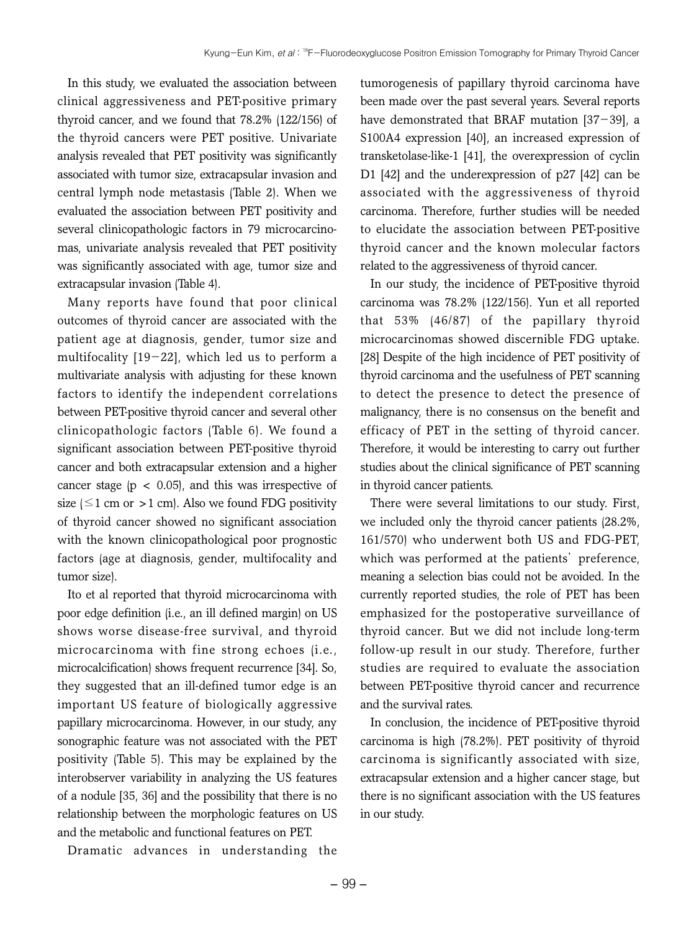In this study, we evaluated the association between clinical aggressiveness and PET-positive primary thyroid cancer, and we found that 78.2% (122/156) of the thyroid cancers were PET positive. Univariate analysis revealed that PET positivity was significantly associated with tumor size, extracapsular invasion and central lymph node metastasis (Table 2). When we evaluated the association between PET positivity and several clinicopathologic factors in 79 microcarcinomas, univariate analysis revealed that PET positivity was significantly associated with age, tumor size and extracapsular invasion (Table 4).

Many reports have found that poor clinical outcomes of thyroid cancer are associated with the patient age at diagnosis, gender, tumor size and multifocality [19-22], which led us to perform a multivariate analysis with adjusting for these known factors to identify the independent correlations between PET-positive thyroid cancer and several other clinicopathologic factors (Table 6). We found a significant association between PET-positive thyroid cancer and both extracapsular extension and a higher cancer stage  $(p < 0.05)$ , and this was irrespective of size ( $\leq$ 1 cm or > 1 cm). Also we found FDG positivity of thyroid cancer showed no significant association with the known clinicopathological poor prognostic factors (age at diagnosis, gender, multifocality and tumor size).

Ito et al reported that thyroid microcarcinoma with poor edge definition (i.e., an ill defined margin) on US shows worse disease-free survival, and thyroid microcarcinoma with fine strong echoes (i.e., microcalcification) shows frequent recurrence [34]. So, they suggested that an ill-defined tumor edge is an important US feature of biologically aggressive papillary microcarcinoma. However, in our study, any sonographic feature was not associated with the PET positivity (Table 5). This may be explained by the interobserver variability in analyzing the US features of a nodule [35, 36] and the possibility that there is no relationship between the morphologic features on US and the metabolic and functional features on PET.

Dramatic advances in understanding the

tumorogenesis of papillary thyroid carcinoma have been made over the past several years. Several reports have demonstrated that BRAF mutation [37-39], a S100A4 expression [40], an increased expression of transketolase-like-1 [41], the overexpression of cyclin D1 [42] and the underexpression of p27 [42] can be associated with the aggressiveness of thyroid carcinoma. Therefore, further studies will be needed to elucidate the association between PET-positive thyroid cancer and the known molecular factors related to the aggressiveness of thyroid cancer.

In our study, the incidence of PET-positive thyroid carcinoma was 78.2% (122/156). Yun et all reported that 53% (46/87) of the papillary thyroid microcarcinomas showed discernible FDG uptake. [28] Despite of the high incidence of PET positivity of thyroid carcinoma and the usefulness of PET scanning to detect the presence to detect the presence of malignancy, there is no consensus on the benefit and efficacy of PET in the setting of thyroid cancer. Therefore, it would be interesting to carry out further studies about the clinical significance of PET scanning in thyroid cancer patients.

There were several limitations to our study. First, we included only the thyroid cancer patients (28.2%, 161/570) who underwent both US and FDG-PET, which was performed at the patients' preference, meaning a selection bias could not be avoided. In the currently reported studies, the role of PET has been emphasized for the postoperative surveillance of thyroid cancer. But we did not include long-term follow-up result in our study. Therefore, further studies are required to evaluate the association between PET-positive thyroid cancer and recurrence and the survival rates.

In conclusion, the incidence of PET-positive thyroid carcinoma is high (78.2%). PET positivity of thyroid carcinoma is significantly associated with size, extracapsular extension and a higher cancer stage, but there is no significant association with the US features in our study.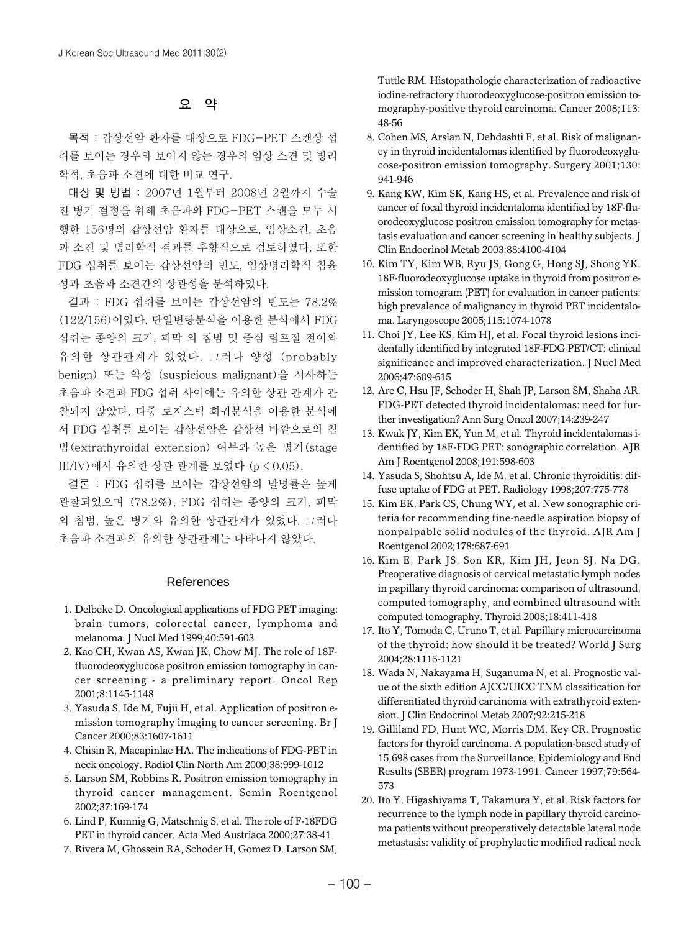#### **요 약**

목적 : 갑상선암 환자를 대상으로 FDG-PET 스캔상 섭 취를 보이는 경우와 보이지 않는 경우의 임상 소견 및 병리 학적, 초음파 소견에 대한 비교 연구.

대상 및 방법 : 2007년 1월부터 2008년 2월까지 수술 전 병기 결정을 위해 초음파와 FDG-PET 스캔을 모두 시 행한 156명의 갑상선암 환자를 대상으로, 임상소견, 초음 파 소견 및 병리학적 결과를 후향적으로 검토하였다. 또한 FDG 섭취를 보이는 갑상선암의 빈도, 임상병리학적 침윤 성과 초음파 소견간의 상관성을 분석하였다.

결과 : FDG 섭취를 보이는 갑상선암의 빈도는 78.2% (122/156)이었다. 단일변량분석을 이용한 분석에서 FDG 섭취는 종양의 크기, 피막 외 침범 및 중심 림프절 전이와 유의한 상관관계가 있었다. 그러나 양성 (probably benign) 또는 악성 (suspicious malignant)을 시사하는 초음파 소견과 FDG 섭취 사이에는 유의한 상관 관계가 관 찰되지 않았다. 다중 로지스틱 회귀분석을 이용한 분석에 서 FDG 섭취를 보이는 갑상선암은 갑상선 바깥으로의 침 범(extrathyroidal extension) 여부와 높은 병기(stage III/IV)에서 유의한 상관 관계를 보였다 (p < 0.05).

결론 : FDG 섭취를 보이는 갑상선암의 발병률은 높게 관찰되었으며 (78.2%), FDG 섭취는 종양의 크기, 피막 외 침범, 높은 병기와 유의한 상관관계가 있었다. 그러나 초음파 소견과의 유의한 상관관계는 나타나지 않았다.

#### References

- 1. Delbeke D. Oncological applications of FDG PET imaging: brain tumors, colorectal cancer, lymphoma and melanoma. J Nucl Med 1999;40:591-603
- 2. Kao CH, Kwan AS, Kwan JK, Chow MJ. The role of 18Ffluorodeoxyglucose positron emission tomography in cancer screening - a preliminary report. Oncol Rep 2001;8:1145-1148
- 3. Yasuda S, Ide M, Fujii H, et al. Application of positron emission tomography imaging to cancer screening. Br J Cancer 2000;83:1607-1611
- 4. Chisin R, Macapinlac HA. The indications of FDG-PET in neck oncology. Radiol Clin North Am 2000;38:999-1012
- 5. Larson SM, Robbins R. Positron emission tomography in thyroid cancer management. Semin Roentgenol 2002;37:169-174
- 6. Lind P, Kumnig G, Matschnig S, et al. The role of F-18FDG PET in thyroid cancer. Acta Med Austriaca 2000;27:38-41
- 7. Rivera M, Ghossein RA, Schoder H, Gomez D, Larson SM,

Tuttle RM. Histopathologic characterization of radioactive iodine-refractory fluorodeoxyglucose-positron emission tomography-positive thyroid carcinoma. Cancer 2008;113: 48-56

- 8. Cohen MS, Arslan N, Dehdashti F, et al. Risk of malignancy in thyroid incidentalomas identified by fluorodeoxyglucose-positron emission tomography. Surgery 2001;130: 941-946
- 9. Kang KW, Kim SK, Kang HS, et al. Prevalence and risk of cancer of focal thyroid incidentaloma identified by 18F-fluorodeoxyglucose positron emission tomography for metastasis evaluation and cancer screening in healthy subjects. J Clin Endocrinol Metab 2003;88:4100-4104
- 10. Kim TY, Kim WB, Ryu JS, Gong G, Hong SJ, Shong YK. 18F-fluorodeoxyglucose uptake in thyroid from positron emission tomogram (PET) for evaluation in cancer patients: high prevalence of malignancy in thyroid PET incidentaloma. Laryngoscope 2005;115:1074-1078
- 11. Choi JY, Lee KS, Kim HJ, et al. Focal thyroid lesions incidentally identified by integrated 18F-FDG PET/CT: clinical significance and improved characterization. J Nucl Med 2006;47:609-615
- 12. Are C, Hsu JF, Schoder H, Shah JP, Larson SM, Shaha AR. FDG-PET detected thyroid incidentalomas: need for further investigation? Ann Surg Oncol 2007;14:239-247
- 13. Kwak JY, Kim EK, Yun M, et al. Thyroid incidentalomas identified by 18F-FDG PET: sonographic correlation. AJR Am J Roentgenol 2008;191:598-603
- 14. Yasuda S, Shohtsu A, Ide M, et al. Chronic thyroiditis: diffuse uptake of FDG at PET. Radiology 1998;207:775-778
- 15. Kim EK, Park CS, Chung WY, et al. New sonographic criteria for recommending fine-needle aspiration biopsy of nonpalpable solid nodules of the thyroid. AJR Am J Roentgenol 2002;178:687-691
- 16. Kim E, Park JS, Son KR, Kim JH, Jeon SJ, Na DG. Preoperative diagnosis of cervical metastatic lymph nodes in papillary thyroid carcinoma: comparison of ultrasound, computed tomography, and combined ultrasound with computed tomography. Thyroid 2008;18:411-418
- 17. Ito Y, Tomoda C, Uruno T, et al. Papillary microcarcinoma of the thyroid: how should it be treated? World J Surg 2004;28:1115-1121
- 18. Wada N, Nakayama H, Suganuma N, et al. Prognostic value of the sixth edition AJCC/UICC TNM classification for differentiated thyroid carcinoma with extrathyroid extension. J Clin Endocrinol Metab 2007;92:215-218
- 19. Gilliland FD, Hunt WC, Morris DM, Key CR. Prognostic factors for thyroid carcinoma. A population-based study of 15,698 cases from the Surveillance, Epidemiology and End Results (SEER) program 1973-1991. Cancer 1997;79:564- 573
- 20. Ito Y, Higashiyama T, Takamura Y, et al. Risk factors for recurrence to the lymph node in papillary thyroid carcinoma patients without preoperatively detectable lateral node metastasis: validity of prophylactic modified radical neck